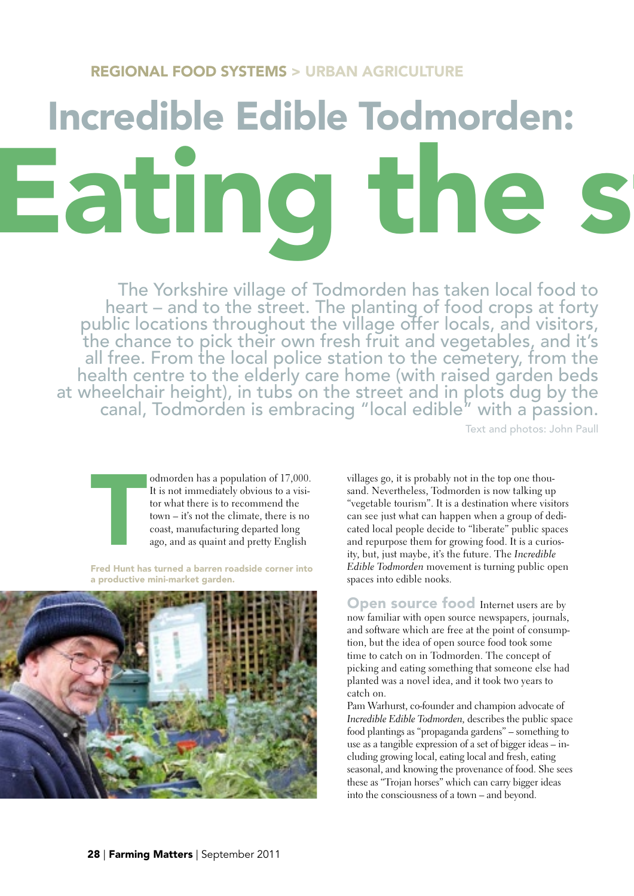## REGIONAL FOOD SYSTEMS > URBAN AGRICULTURE

## Incredible Edible Todmorden: Eating the

The Yorkshire village of Todmorden has taken local food to heart – and to the street. The planting of food crops at forty public locations throughout the village offer locals, and visitors, the chance to pick their own fresh fruit and vegetables, and it's all free. From the local police station to the cemetery, from the health centre to the elderly care home (with raised garden beds<br>at wheelchair height), in tubs on the street and in plots dug by the<br>canal, Todmorden is embracing "local edible" with a passion.

Text and photos: John Paull



odmorden has a population of 17,000. It is not immediately obvious to a visitor what there is to recommend the town – it's not the climate, there is no coast, manufacturing departed long ago, and as quaint and pretty English

Fred Hunt has turned a barren roadside corner into a productive mini-market garden.



villages go, it is probably not in the top one thousand. Nevertheless, Todmorden is now talking up "vegetable tourism". It is a destination where visitors can see just what can happen when a group of dedicated local people decide to "liberate" public spaces and repurpose them for growing food. It is a curiosity, but, just maybe, it's the future. The Incredible Edible Todmorden movement is turning public open spaces into edible nooks.

Open source food Internet users are by now familiar with open source newspapers, journals, and software which are free at the point of consumption, but the idea of open source food took some time to catch on in Todmorden. The concept of picking and eating something that someone else had planted was a novel idea, and it took two years to catch on.

Pam Warhurst, co-founder and champion advocate of Incredible Edible Todmorden, describes the public space food plantings as "propaganda gardens" – something to use as a tangible expression of a set of bigger ideas – including growing local, eating local and fresh, eating seasonal, and knowing the provenance of food. She sees these as "Trojan horses" which can carry bigger ideas into the consciousness of a town – and beyond.